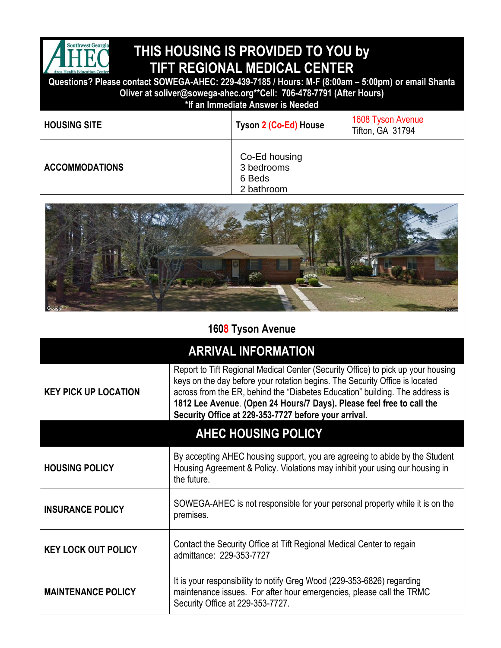

## **THIS HOUSING IS PROVIDED TO YOU by TIFT REGIONAL MEDICAL CENTER**

**Questions? Please contact SOWEGA-AHEC: 229-439-7185 / Hours: M-F (8:00am – 5:00pm) or email Shanta Oliver at soliver@sowega-ahec.org\*\*Cell: 706-478-7791 (After Hours)**

**\*If an Immediate Answer is Needed**

| <b>HOUSING SITE</b>   | Tyson 2 (Co-Ed) House                               | 1608 Tyson Avenue<br>Tifton, GA 31794 |
|-----------------------|-----------------------------------------------------|---------------------------------------|
| <b>ACCOMMODATIONS</b> | Co-Ed housing<br>3 bedrooms<br>6 Beds<br>2 bathroom |                                       |
|                       |                                                     |                                       |



|  |  |  | 1608 Tyson Avenue |
|--|--|--|-------------------|
|--|--|--|-------------------|

| <b>ARRIVAL INFORMATION</b>  |                                                                                                                                                                                                                                                                                                                                                                                  |  |  |  |
|-----------------------------|----------------------------------------------------------------------------------------------------------------------------------------------------------------------------------------------------------------------------------------------------------------------------------------------------------------------------------------------------------------------------------|--|--|--|
| <b>KEY PICK UP LOCATION</b> | Report to Tift Regional Medical Center (Security Office) to pick up your housing<br>keys on the day before your rotation begins. The Security Office is located<br>across from the ER, behind the "Diabetes Education" building. The address is<br>1812 Lee Avenue. (Open 24 Hours/7 Days). Please feel free to call the<br>Security Office at 229-353-7727 before your arrival. |  |  |  |
| <b>AHEC HOUSING POLICY</b>  |                                                                                                                                                                                                                                                                                                                                                                                  |  |  |  |
| <b>HOUSING POLICY</b>       | By accepting AHEC housing support, you are agreeing to abide by the Student<br>Housing Agreement & Policy. Violations may inhibit your using our housing in<br>the future.                                                                                                                                                                                                       |  |  |  |
| <b>INSURANCE POLICY</b>     | SOWEGA-AHEC is not responsible for your personal property while it is on the<br>premises.                                                                                                                                                                                                                                                                                        |  |  |  |
| <b>KEY LOCK OUT POLICY</b>  | Contact the Security Office at Tift Regional Medical Center to regain<br>admittance: 229-353-7727                                                                                                                                                                                                                                                                                |  |  |  |
| <b>MAINTENANCE POLICY</b>   | It is your responsibility to notify Greg Wood (229-353-6826) regarding<br>maintenance issues. For after hour emergencies, please call the TRMC<br>Security Office at 229-353-7727.                                                                                                                                                                                               |  |  |  |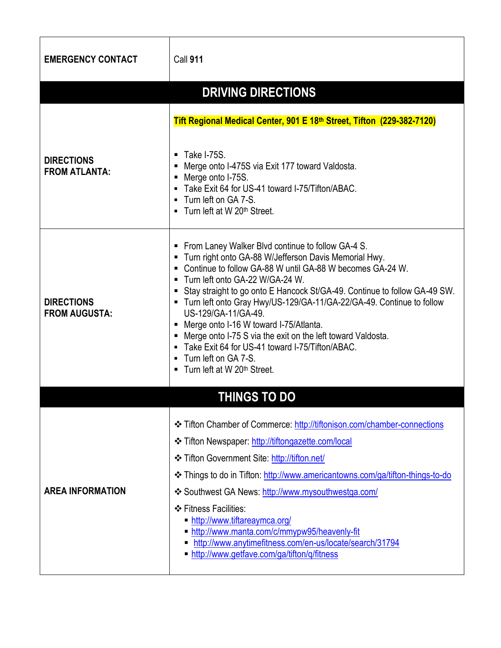| <b>EMERGENCY CONTACT</b>                  | <b>Call 911</b>                                                                                                                                                                                                                                                                                                                                                                                                                                                                                                                                                                                                                           |  |  |  |  |
|-------------------------------------------|-------------------------------------------------------------------------------------------------------------------------------------------------------------------------------------------------------------------------------------------------------------------------------------------------------------------------------------------------------------------------------------------------------------------------------------------------------------------------------------------------------------------------------------------------------------------------------------------------------------------------------------------|--|--|--|--|
| <b>DRIVING DIRECTIONS</b>                 |                                                                                                                                                                                                                                                                                                                                                                                                                                                                                                                                                                                                                                           |  |  |  |  |
|                                           | Tift Regional Medical Center, 901 E 18th Street, Tifton (229-382-7120)<br>$\blacksquare$ Take I-75S.                                                                                                                                                                                                                                                                                                                                                                                                                                                                                                                                      |  |  |  |  |
| <b>DIRECTIONS</b><br><b>FROM ATLANTA:</b> | • Merge onto I-475S via Exit 177 toward Valdosta.<br>• Merge onto I-75S.<br>- Take Exit 64 for US-41 toward I-75/Tifton/ABAC.<br>■ Turn left on GA 7-S.<br>• Turn left at W 20 <sup>th</sup> Street.                                                                                                                                                                                                                                                                                                                                                                                                                                      |  |  |  |  |
| <b>DIRECTIONS</b><br><b>FROM AUGUSTA:</b> | • From Laney Walker Blvd continue to follow GA-4 S.<br>■ Turn right onto GA-88 W/Jefferson Davis Memorial Hwy.<br>• Continue to follow GA-88 W until GA-88 W becomes GA-24 W.<br>■ Turn left onto GA-22 W/GA-24 W.<br>Stay straight to go onto E Hancock St/GA-49. Continue to follow GA-49 SW.<br>■ Turn left onto Gray Hwy/US-129/GA-11/GA-22/GA-49. Continue to follow<br>US-129/GA-11/GA-49.<br>■ Merge onto I-16 W toward I-75/Atlanta.<br>• Merge onto I-75 S via the exit on the left toward Valdosta.<br>• Take Exit 64 for US-41 toward I-75/Tifton/ABAC.<br>■ Turn left on GA 7-S.<br>■ Turn left at W 20 <sup>th</sup> Street. |  |  |  |  |
|                                           | <b>THINGS TO DO</b>                                                                                                                                                                                                                                                                                                                                                                                                                                                                                                                                                                                                                       |  |  |  |  |
| <b>AREA INFORMATION</b>                   | <b>Exercise Fifton Chamber of Commerce: http://tiftonison.com/chamber-connections</b><br>❖ Tifton Newspaper: http://tiftongazette.com/local<br><b>❖ Tifton Government Site: http://tifton.net/</b><br>Later Things to do in Tifton: http://www.americantowns.com/ga/tifton-things-to-do<br>❖ Southwest GA News: http://www.mysouthwestga.com/<br>❖ Fitness Facilities:<br>http://www.tiftareaymca.org/<br>http://www.manta.com/c/mmypw95/heavenly-fit                                                                                                                                                                                     |  |  |  |  |
|                                           | http://www.anytimefitness.com/en-us/locate/search/31794<br>• http://www.getfave.com/ga/tifton/q/fitness                                                                                                                                                                                                                                                                                                                                                                                                                                                                                                                                   |  |  |  |  |